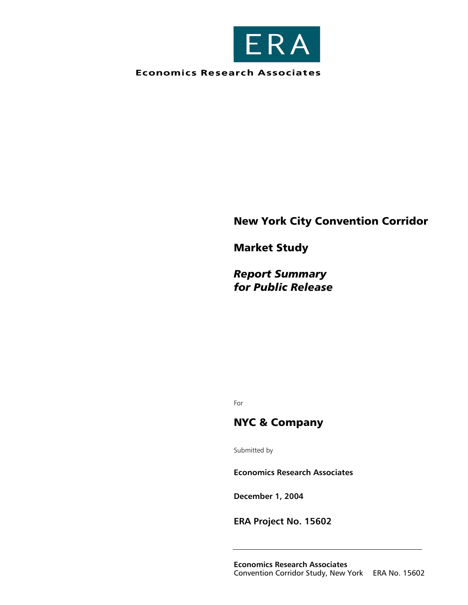

**Economics Research Associates** 

# New York City Convention Corridor

Market Study

*Report Summary for Public Release* 

For

# NYC & Company

Submitted by

**Economics Research Associates** 

**December 1, 2004** 

**ERA Project No. 15602**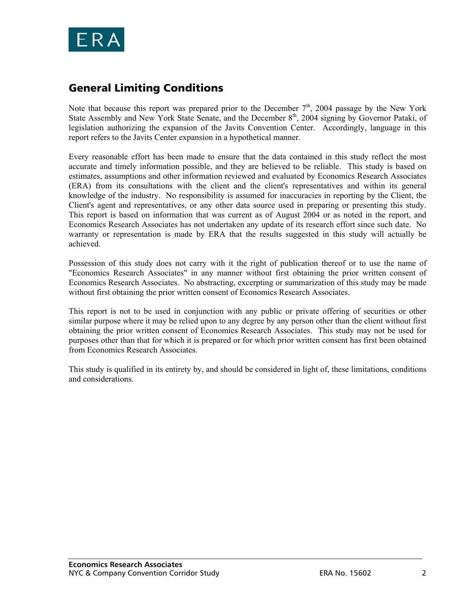

# General Limiting Conditions

Note that because this report was prepared prior to the December  $7<sup>th</sup>$ , 2004 passage by the New York State Assembly and New York State Senate, and the December 8<sup>th</sup>, 2004 signing by Governor Pataki, of legislation authorizing the expansion of the Javits Convention Center. Accordingly, language in this report refers to the Javits Center expansion in a hypothetical manner.

Every reasonable effort has been made to ensure that the data contained in this study reflect the most accurate and timely information possible, and they are believed to be reliable. This study is based on estimates, assumptions and other information reviewed and evaluated by Economics Research Associates (ERA) from its consultations with the client and the client's representatives and within its general knowledge of the industry. No responsibility is assumed for inaccuracies in reporting by the Client, the Client's agent and representatives, or any other data source used in preparing or presenting this study. This report is based on information that was current as of August 2004 or as noted in the report, and Economics Research Associates has not undertaken any update of its research effort since such date. No warranty or representation is made by ERA that the results suggested in this study will actually be achieved.

Possession of this study does not carry with it the right of publication thereof or to use the name of "Economics Research Associates" in any manner without first obtaining the prior written consent of Economics Research Associates. No abstracting, excerpting or summarization of this study may be made without first obtaining the prior written consent of Economics Research Associates.

This report is not to be used in conjunction with any public or private offering of securities or other similar purpose where it may be relied upon to any degree by any person other than the client without first obtaining the prior written consent of Economics Research Associates. This study may not be used for purposes other than that for which it is prepared or for which prior written consent has first been obtained from Economics Research Associates.

This study is qualified in its entirety by, and should be considered in light of, these limitations, conditions and considerations.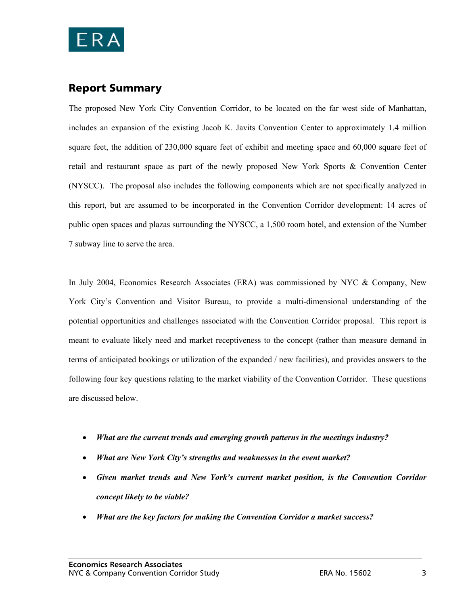

# Report Summary

The proposed New York City Convention Corridor, to be located on the far west side of Manhattan, includes an expansion of the existing Jacob K. Javits Convention Center to approximately 1.4 million square feet, the addition of 230,000 square feet of exhibit and meeting space and 60,000 square feet of retail and restaurant space as part of the newly proposed New York Sports & Convention Center (NYSCC). The proposal also includes the following components which are not specifically analyzed in this report, but are assumed to be incorporated in the Convention Corridor development: 14 acres of public open spaces and plazas surrounding the NYSCC, a 1,500 room hotel, and extension of the Number 7 subway line to serve the area.

In July 2004, Economics Research Associates (ERA) was commissioned by NYC & Company, New York City's Convention and Visitor Bureau, to provide a multi-dimensional understanding of the potential opportunities and challenges associated with the Convention Corridor proposal. This report is meant to evaluate likely need and market receptiveness to the concept (rather than measure demand in terms of anticipated bookings or utilization of the expanded / new facilities), and provides answers to the following four key questions relating to the market viability of the Convention Corridor. These questions are discussed below.

- *What are the current trends and emerging growth patterns in the meetings industry?*
- *What are New York City's strengths and weaknesses in the event market?*
- *Given market trends and New York's current market position, is the Convention Corridor concept likely to be viable?*
- *What are the key factors for making the Convention Corridor a market success?*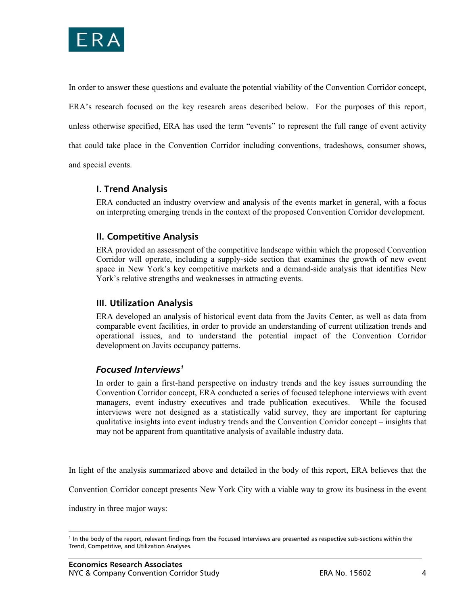

In order to answer these questions and evaluate the potential viability of the Convention Corridor concept, ERA's research focused on the key research areas described below. For the purposes of this report, unless otherwise specified, ERA has used the term "events" to represent the full range of event activity that could take place in the Convention Corridor including conventions, tradeshows, consumer shows, and special events.

**I. Trend Analysis** 

ERA conducted an industry overview and analysis of the events market in general, with a focus on interpreting emerging trends in the context of the proposed Convention Corridor development.

## **II. Competitive Analysis**

ERA provided an assessment of the competitive landscape within which the proposed Convention Corridor will operate, including a supply-side section that examines the growth of new event space in New York's key competitive markets and a demand-side analysis that identifies New York's relative strengths and weaknesses in attracting events.

## **III. Utilization Analysis**

ERA developed an analysis of historical event data from the Javits Center, as well as data from comparable event facilities, in order to provide an understanding of current utilization trends and operational issues, and to understand the potential impact of the Convention Corridor development on Javits occupancy patterns.

# *Focused Interviews1*

In order to gain a first-hand perspective on industry trends and the key issues surrounding the Convention Corridor concept, ERA conducted a series of focused telephone interviews with event managers, event industry executives and trade publication executives. While the focused interviews were not designed as a statistically valid survey, they are important for capturing qualitative insights into event industry trends and the Convention Corridor concept – insights that may not be apparent from quantitative analysis of available industry data.

In light of the analysis summarized above and detailed in the body of this report, ERA believes that the

Convention Corridor concept presents New York City with a viable way to grow its business in the event

industry in three major ways:

 $\overline{a}$ 

<sup>&</sup>lt;sup>1</sup> In the body of the report, relevant findings from the Focused Interviews are presented as respective sub-sections within the Trend, Competitive, and Utilization Analyses.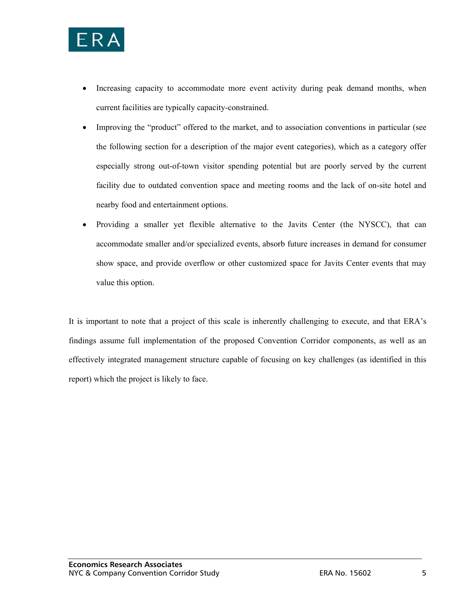

- Increasing capacity to accommodate more event activity during peak demand months, when current facilities are typically capacity-constrained.
- Improving the "product" offered to the market, and to association conventions in particular (see the following section for a description of the major event categories), which as a category offer especially strong out-of-town visitor spending potential but are poorly served by the current facility due to outdated convention space and meeting rooms and the lack of on-site hotel and nearby food and entertainment options.
- Providing a smaller yet flexible alternative to the Javits Center (the NYSCC), that can accommodate smaller and/or specialized events, absorb future increases in demand for consumer show space, and provide overflow or other customized space for Javits Center events that may value this option.

It is important to note that a project of this scale is inherently challenging to execute, and that ERA's findings assume full implementation of the proposed Convention Corridor components, as well as an effectively integrated management structure capable of focusing on key challenges (as identified in this report) which the project is likely to face.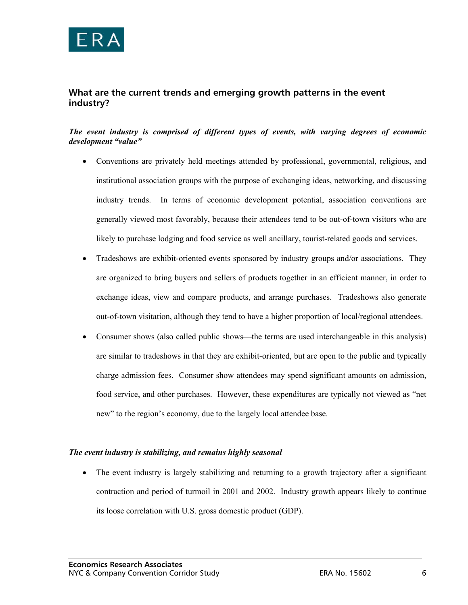

## **What are the current trends and emerging growth patterns in the event industry?**

#### *The event industry is comprised of different types of events, with varying degrees of economic development "value"*

- Conventions are privately held meetings attended by professional, governmental, religious, and institutional association groups with the purpose of exchanging ideas, networking, and discussing industry trends. In terms of economic development potential, association conventions are generally viewed most favorably, because their attendees tend to be out-of-town visitors who are likely to purchase lodging and food service as well ancillary, tourist-related goods and services.
- Tradeshows are exhibit-oriented events sponsored by industry groups and/or associations. They are organized to bring buyers and sellers of products together in an efficient manner, in order to exchange ideas, view and compare products, and arrange purchases. Tradeshows also generate out-of-town visitation, although they tend to have a higher proportion of local/regional attendees.
- Consumer shows (also called public shows—the terms are used interchangeable in this analysis) are similar to tradeshows in that they are exhibit-oriented, but are open to the public and typically charge admission fees. Consumer show attendees may spend significant amounts on admission, food service, and other purchases. However, these expenditures are typically not viewed as "net new" to the region's economy, due to the largely local attendee base.

#### *The event industry is stabilizing, and remains highly seasonal*

• The event industry is largely stabilizing and returning to a growth trajectory after a significant contraction and period of turmoil in 2001 and 2002. Industry growth appears likely to continue its loose correlation with U.S. gross domestic product (GDP).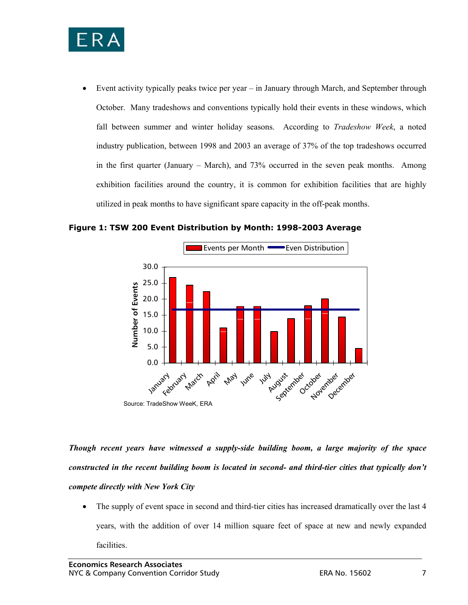

• Event activity typically peaks twice per year – in January through March, and September through October. Many tradeshows and conventions typically hold their events in these windows, which fall between summer and winter holiday seasons. According to *Tradeshow Week*, a noted industry publication, between 1998 and 2003 an average of 37% of the top tradeshows occurred in the first quarter (January – March), and 73% occurred in the seven peak months. Among exhibition facilities around the country, it is common for exhibition facilities that are highly utilized in peak months to have significant spare capacity in the off-peak months.

**Figure 1: TSW 200 Event Distribution by Month: 1998-2003 Average** 



*Though recent years have witnessed a supply-side building boom, a large majority of the space constructed in the recent building boom is located in second- and third-tier cities that typically don't compete directly with New York City*

• The supply of event space in second and third-tier cities has increased dramatically over the last 4 years, with the addition of over 14 million square feet of space at new and newly expanded facilities.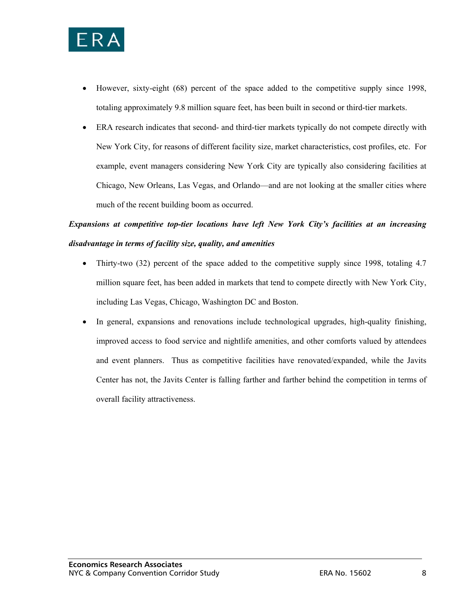

- However, sixty-eight (68) percent of the space added to the competitive supply since 1998, totaling approximately 9.8 million square feet, has been built in second or third-tier markets.
- ERA research indicates that second- and third-tier markets typically do not compete directly with New York City, for reasons of different facility size, market characteristics, cost profiles, etc. For example, event managers considering New York City are typically also considering facilities at Chicago, New Orleans, Las Vegas, and Orlando—and are not looking at the smaller cities where much of the recent building boom as occurred.

# *Expansions at competitive top-tier locations have left New York City's facilities at an increasing disadvantage in terms of facility size, quality, and amenities*

- Thirty-two (32) percent of the space added to the competitive supply since 1998, totaling 4.7 million square feet, has been added in markets that tend to compete directly with New York City, including Las Vegas, Chicago, Washington DC and Boston.
- In general, expansions and renovations include technological upgrades, high-quality finishing, improved access to food service and nightlife amenities, and other comforts valued by attendees and event planners. Thus as competitive facilities have renovated/expanded, while the Javits Center has not, the Javits Center is falling farther and farther behind the competition in terms of overall facility attractiveness.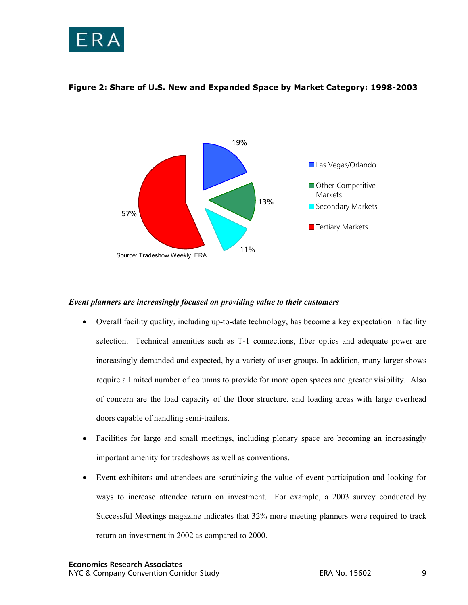



#### **Figure 2: Share of U.S. New and Expanded Space by Market Category: 1998-2003**

#### *Event planners are increasingly focused on providing value to their customers*

- Overall facility quality, including up-to-date technology, has become a key expectation in facility selection. Technical amenities such as T-1 connections, fiber optics and adequate power are increasingly demanded and expected, by a variety of user groups. In addition, many larger shows require a limited number of columns to provide for more open spaces and greater visibility. Also of concern are the load capacity of the floor structure, and loading areas with large overhead doors capable of handling semi-trailers.
- Facilities for large and small meetings, including plenary space are becoming an increasingly important amenity for tradeshows as well as conventions.
- Event exhibitors and attendees are scrutinizing the value of event participation and looking for ways to increase attendee return on investment. For example, a 2003 survey conducted by Successful Meetings magazine indicates that 32% more meeting planners were required to track return on investment in 2002 as compared to 2000.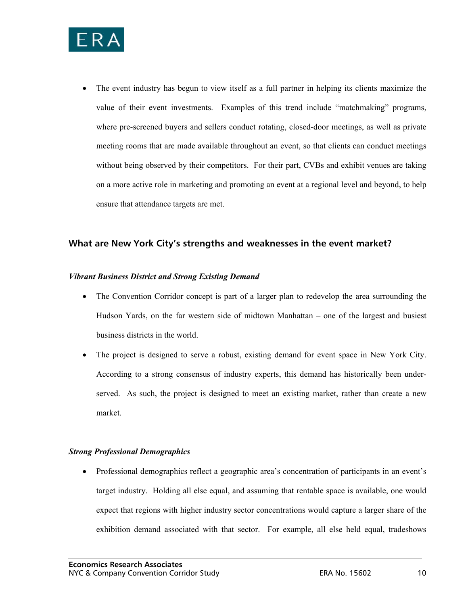

• The event industry has begun to view itself as a full partner in helping its clients maximize the value of their event investments. Examples of this trend include "matchmaking" programs, where pre-screened buyers and sellers conduct rotating, closed-door meetings, as well as private meeting rooms that are made available throughout an event, so that clients can conduct meetings without being observed by their competitors. For their part, CVBs and exhibit venues are taking on a more active role in marketing and promoting an event at a regional level and beyond, to help ensure that attendance targets are met.

### **What are New York City's strengths and weaknesses in the event market?**

#### *Vibrant Business District and Strong Existing Demand*

- The Convention Corridor concept is part of a larger plan to redevelop the area surrounding the Hudson Yards, on the far western side of midtown Manhattan – one of the largest and busiest business districts in the world.
- The project is designed to serve a robust, existing demand for event space in New York City. According to a strong consensus of industry experts, this demand has historically been underserved. As such, the project is designed to meet an existing market, rather than create a new market.

#### *Strong Professional Demographics*

• Professional demographics reflect a geographic area's concentration of participants in an event's target industry. Holding all else equal, and assuming that rentable space is available, one would expect that regions with higher industry sector concentrations would capture a larger share of the exhibition demand associated with that sector. For example, all else held equal, tradeshows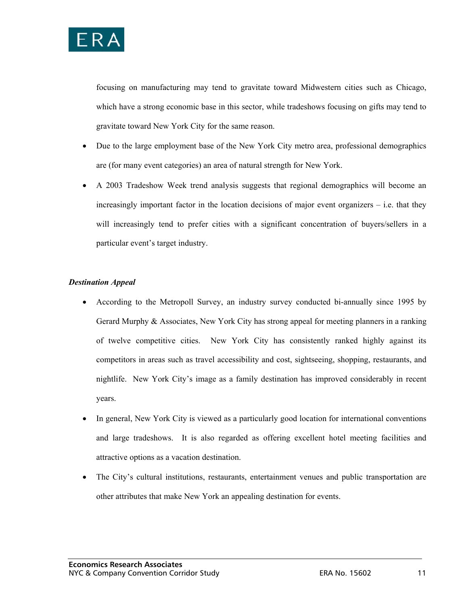

focusing on manufacturing may tend to gravitate toward Midwestern cities such as Chicago, which have a strong economic base in this sector, while tradeshows focusing on gifts may tend to gravitate toward New York City for the same reason.

- Due to the large employment base of the New York City metro area, professional demographics are (for many event categories) an area of natural strength for New York.
- A 2003 Tradeshow Week trend analysis suggests that regional demographics will become an increasingly important factor in the location decisions of major event organizers – i.e. that they will increasingly tend to prefer cities with a significant concentration of buyers/sellers in a particular event's target industry.

#### *Destination Appeal*

- According to the Metropoll Survey, an industry survey conducted bi-annually since 1995 by Gerard Murphy & Associates, New York City has strong appeal for meeting planners in a ranking of twelve competitive cities. New York City has consistently ranked highly against its competitors in areas such as travel accessibility and cost, sightseeing, shopping, restaurants, and nightlife. New York City's image as a family destination has improved considerably in recent years.
- In general, New York City is viewed as a particularly good location for international conventions and large tradeshows. It is also regarded as offering excellent hotel meeting facilities and attractive options as a vacation destination.
- The City's cultural institutions, restaurants, entertainment venues and public transportation are other attributes that make New York an appealing destination for events.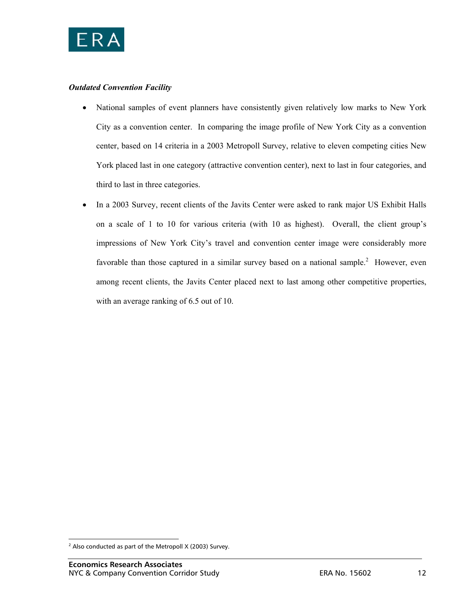

### *Outdated Convention Facility*

- National samples of event planners have consistently given relatively low marks to New York City as a convention center. In comparing the image profile of New York City as a convention center, based on 14 criteria in a 2003 Metropoll Survey, relative to eleven competing cities New York placed last in one category (attractive convention center), next to last in four categories, and third to last in three categories.
- In a 2003 Survey, recent clients of the Javits Center were asked to rank major US Exhibit Halls on a scale of 1 to 10 for various criteria (with 10 as highest). Overall, the client group's impressions of New York City's travel and convention center image were considerably more favorable than those captured in a similar survey based on a national sample.<sup>2</sup> However, even among recent clients, the Javits Center placed next to last among other competitive properties, with an average ranking of 6.5 out of 10.

 2 Also conducted as part of the Metropoll X (2003) Survey.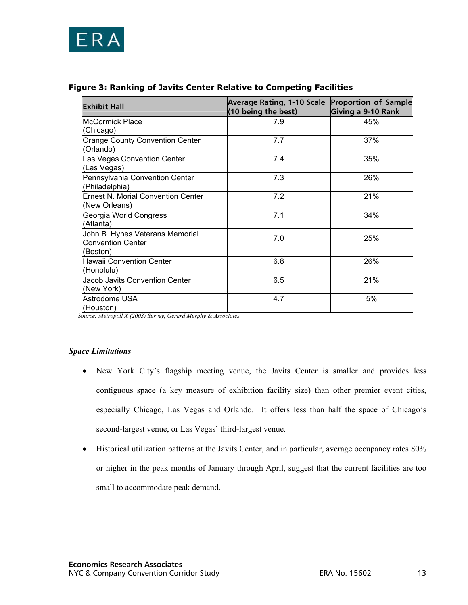

| <b>Exhibit Hall</b>                                                     | Average Rating, 1-10 Scale Proportion of Sample<br>(10 being the best) | Giving a 9-10 Rank |
|-------------------------------------------------------------------------|------------------------------------------------------------------------|--------------------|
| IMcCormick Place<br>(Chicago)                                           | 7.9                                                                    | 45%                |
| Orange County Convention Center<br>(Orlando)                            | 7.7                                                                    | 37%                |
| Las Vegas Convention Center<br>(Las Vegas)                              | 7.4                                                                    | 35%                |
| Pennsylvania Convention Center<br>(Philadelphia)                        | 7.3                                                                    | 26%                |
| <b>Ernest N. Morial Convention Center</b><br>(New Orleans)              | 7.2                                                                    | 21%                |
| Georgia World Congress<br>(Atlanta)                                     | 7.1                                                                    | 34%                |
| John B. Hynes Veterans Memorial<br><b>Convention Center</b><br>(Boston) | 7.0                                                                    | 25%                |
| <b>Hawaii Convention Center</b><br>(Honolulu)                           | 6.8                                                                    | 26%                |
| Jacob Javits Convention Center<br>(New York)                            | 6.5                                                                    | 21%                |
| Astrodome USA<br>(Houston)                                              | 4.7                                                                    | 5%                 |

### **Figure 3: Ranking of Javits Center Relative to Competing Facilities**

 *Source: Metropoll X (2003) Survey, Gerard Murphy & Associates* 

#### *Space Limitations*

- New York City's flagship meeting venue, the Javits Center is smaller and provides less contiguous space (a key measure of exhibition facility size) than other premier event cities, especially Chicago, Las Vegas and Orlando. It offers less than half the space of Chicago's second-largest venue, or Las Vegas' third-largest venue.
- Historical utilization patterns at the Javits Center, and in particular, average occupancy rates 80% or higher in the peak months of January through April, suggest that the current facilities are too small to accommodate peak demand.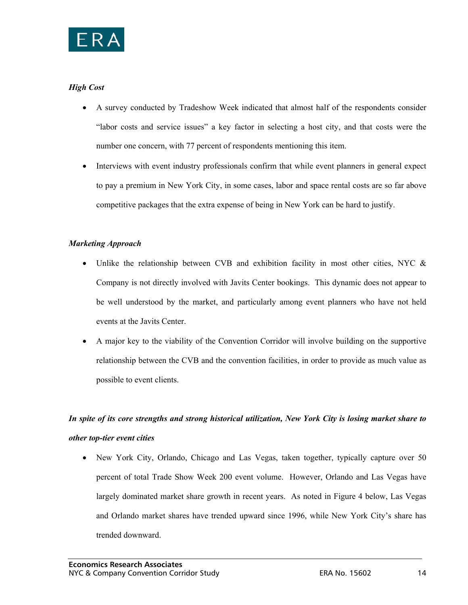

### *High Cost*

- A survey conducted by Tradeshow Week indicated that almost half of the respondents consider "labor costs and service issues" a key factor in selecting a host city, and that costs were the number one concern, with 77 percent of respondents mentioning this item.
- Interviews with event industry professionals confirm that while event planners in general expect to pay a premium in New York City, in some cases, labor and space rental costs are so far above competitive packages that the extra expense of being in New York can be hard to justify.

### *Marketing Approach*

- Unlike the relationship between CVB and exhibition facility in most other cities, NYC & Company is not directly involved with Javits Center bookings. This dynamic does not appear to be well understood by the market, and particularly among event planners who have not held events at the Javits Center.
- A major key to the viability of the Convention Corridor will involve building on the supportive relationship between the CVB and the convention facilities, in order to provide as much value as possible to event clients.

# *In spite of its core strengths and strong historical utilization, New York City is losing market share to other top-tier event cities*

• New York City, Orlando, Chicago and Las Vegas, taken together, typically capture over 50 percent of total Trade Show Week 200 event volume. However, Orlando and Las Vegas have largely dominated market share growth in recent years. As noted in Figure 4 below, Las Vegas and Orlando market shares have trended upward since 1996, while New York City's share has trended downward.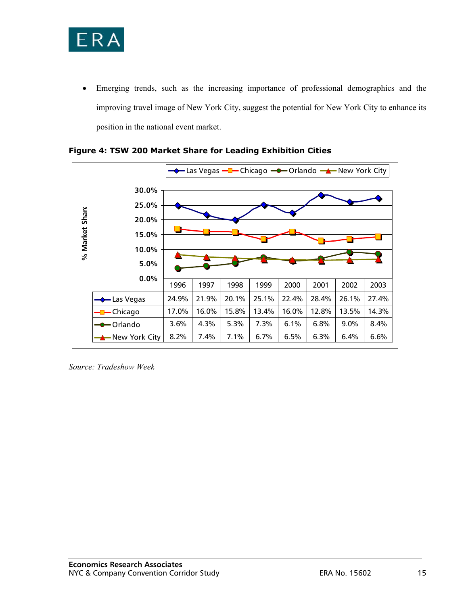

• Emerging trends, such as the increasing importance of professional demographics and the improving travel image of New York City, suggest the potential for New York City to enhance its position in the national event market.





*Source: Tradeshow Week*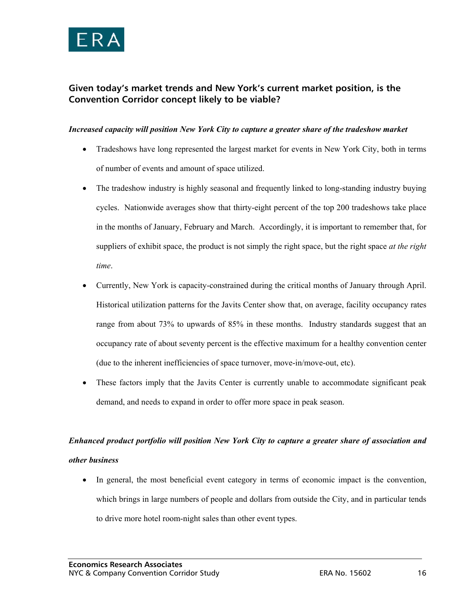

# **Given today's market trends and New York's current market position, is the Convention Corridor concept likely to be viable?**

#### *Increased capacity will position New York City to capture a greater share of the tradeshow market*

- Tradeshows have long represented the largest market for events in New York City, both in terms of number of events and amount of space utilized.
- The tradeshow industry is highly seasonal and frequently linked to long-standing industry buying cycles. Nationwide averages show that thirty-eight percent of the top 200 tradeshows take place in the months of January, February and March. Accordingly, it is important to remember that, for suppliers of exhibit space, the product is not simply the right space, but the right space *at the right time*.
- Currently, New York is capacity-constrained during the critical months of January through April. Historical utilization patterns for the Javits Center show that, on average, facility occupancy rates range from about 73% to upwards of 85% in these months. Industry standards suggest that an occupancy rate of about seventy percent is the effective maximum for a healthy convention center (due to the inherent inefficiencies of space turnover, move-in/move-out, etc).
- These factors imply that the Javits Center is currently unable to accommodate significant peak demand, and needs to expand in order to offer more space in peak season.

# *Enhanced product portfolio will position New York City to capture a greater share of association and other business*

• In general, the most beneficial event category in terms of economic impact is the convention, which brings in large numbers of people and dollars from outside the City, and in particular tends to drive more hotel room-night sales than other event types.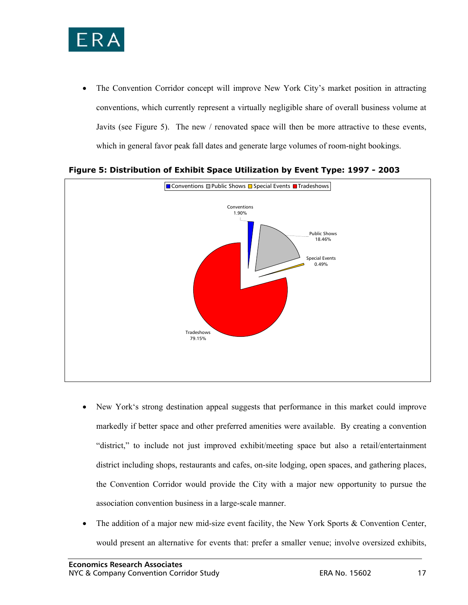

• The Convention Corridor concept will improve New York City's market position in attracting conventions, which currently represent a virtually negligible share of overall business volume at Javits (see Figure 5). The new / renovated space will then be more attractive to these events, which in general favor peak fall dates and generate large volumes of room-night bookings.



**Figure 5: Distribution of Exhibit Space Utilization by Event Type: 1997 - 2003** 

- New York's strong destination appeal suggests that performance in this market could improve markedly if better space and other preferred amenities were available. By creating a convention "district," to include not just improved exhibit/meeting space but also a retail/entertainment district including shops, restaurants and cafes, on-site lodging, open spaces, and gathering places, the Convention Corridor would provide the City with a major new opportunity to pursue the association convention business in a large-scale manner.
- The addition of a major new mid-size event facility, the New York Sports & Convention Center, would present an alternative for events that: prefer a smaller venue; involve oversized exhibits,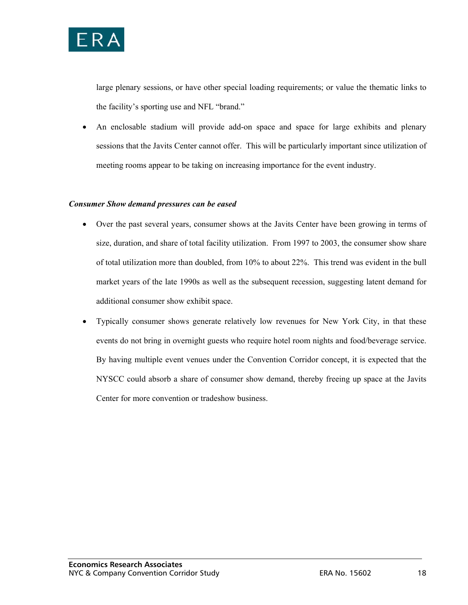

large plenary sessions, or have other special loading requirements; or value the thematic links to the facility's sporting use and NFL "brand."

• An enclosable stadium will provide add-on space and space for large exhibits and plenary sessions that the Javits Center cannot offer. This will be particularly important since utilization of meeting rooms appear to be taking on increasing importance for the event industry.

#### *Consumer Show demand pressures can be eased*

- Over the past several years, consumer shows at the Javits Center have been growing in terms of size, duration, and share of total facility utilization. From 1997 to 2003, the consumer show share of total utilization more than doubled, from 10% to about 22%. This trend was evident in the bull market years of the late 1990s as well as the subsequent recession, suggesting latent demand for additional consumer show exhibit space.
- Typically consumer shows generate relatively low revenues for New York City, in that these events do not bring in overnight guests who require hotel room nights and food/beverage service. By having multiple event venues under the Convention Corridor concept, it is expected that the NYSCC could absorb a share of consumer show demand, thereby freeing up space at the Javits Center for more convention or tradeshow business.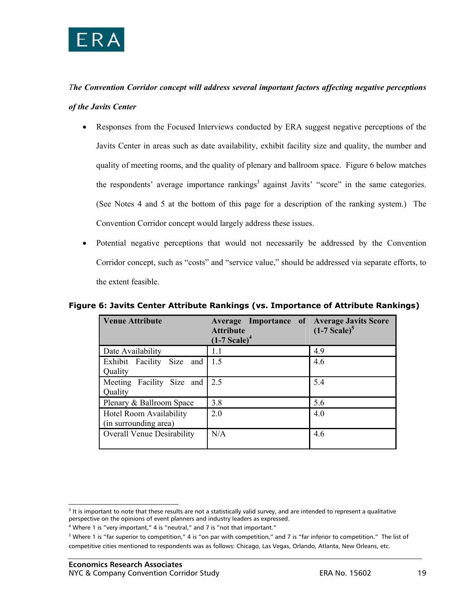

# *The Convention Corridor concept will address several important factors affecting negative perceptions of the Javits Center*

- Responses from the Focused Interviews conducted by ERA suggest negative perceptions of the Javits Center in areas such as date availability, exhibit facility size and quality, the number and quality of meeting rooms, and the quality of plenary and ballroom space. Figure 6 below matches the respondents' average importance rankings<sup>3</sup> against Javits' "score" in the same categories. (See Notes 4 and 5 at the bottom of this page for a description of the ranking system.) The Convention Corridor concept would largely address these issues.
- Potential negative perceptions that would not necessarily be addressed by the Convention Corridor concept, such as "costs" and "service value," should be addressed via separate efforts, to the extent feasible.

| <b>Venue Attribute</b>                           | <b>Average Importance of Average Javits Score</b><br><b>Attribute</b><br>$(1-7 Scale)^4$ | $(1-7 Scale)^5$ |
|--------------------------------------------------|------------------------------------------------------------------------------------------|-----------------|
| Date Availability                                | 1.1                                                                                      | 4.9             |
| Exhibit Facility Size and<br>Quality             | 1.5                                                                                      | 4.6             |
| Meeting Facility Size and<br>Quality             | 2.5                                                                                      | 5.4             |
| Plenary & Ballroom Space                         | 3.8                                                                                      | 5.6             |
| Hotel Room Availability<br>(in surrounding area) | 2.0                                                                                      | 4.0             |
| <b>Overall Venue Desirability</b>                | N/A                                                                                      | 4.6             |

## **Figure 6: Javits Center Attribute Rankings (vs. Importance of Attribute Rankings)**

 $\overline{a}$ 

<sup>&</sup>lt;sup>3</sup> It is important to note that these results are not a statistically valid survey, and are intended to represent a qualitative perspective on the opinions of event planners and industry leaders as expressed.

<sup>&</sup>lt;sup>4</sup> Where 1 is "very important," 4 is "neutral," and 7 is "not that important."

<sup>&</sup>lt;sup>5</sup> Where 1 is "far superior to competition," 4 is "on par with competition," and 7 is "far inferior to competition." The list of competitive cities mentioned to respondents was as follows: Chicago, Las Vegas, Orlando, Atlanta, New Orleans, etc.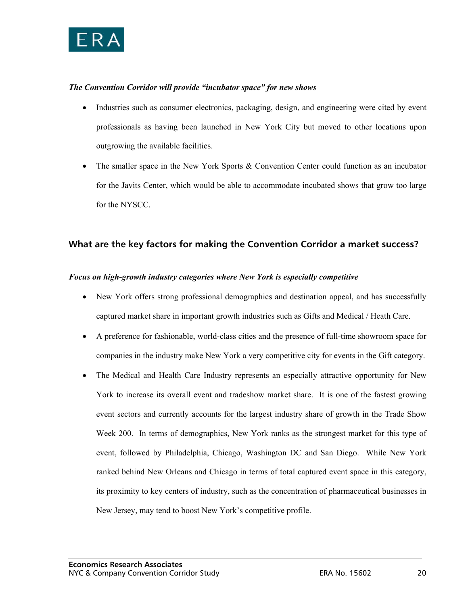

#### *The Convention Corridor will provide "incubator space" for new shows*

- Industries such as consumer electronics, packaging, design, and engineering were cited by event professionals as having been launched in New York City but moved to other locations upon outgrowing the available facilities.
- The smaller space in the New York Sports & Convention Center could function as an incubator for the Javits Center, which would be able to accommodate incubated shows that grow too large for the NYSCC.

### **What are the key factors for making the Convention Corridor a market success?**

#### *Focus on high-growth industry categories where New York is especially competitive*

- New York offers strong professional demographics and destination appeal, and has successfully captured market share in important growth industries such as Gifts and Medical / Heath Care.
- A preference for fashionable, world-class cities and the presence of full-time showroom space for companies in the industry make New York a very competitive city for events in the Gift category.
- The Medical and Health Care Industry represents an especially attractive opportunity for New York to increase its overall event and tradeshow market share. It is one of the fastest growing event sectors and currently accounts for the largest industry share of growth in the Trade Show Week 200. In terms of demographics, New York ranks as the strongest market for this type of event, followed by Philadelphia, Chicago, Washington DC and San Diego. While New York ranked behind New Orleans and Chicago in terms of total captured event space in this category, its proximity to key centers of industry, such as the concentration of pharmaceutical businesses in New Jersey, may tend to boost New York's competitive profile.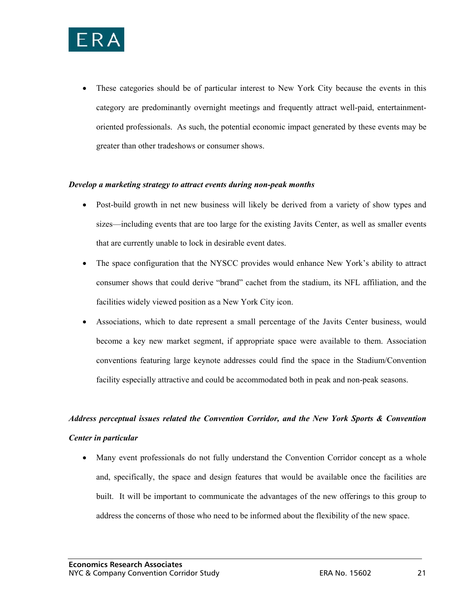

• These categories should be of particular interest to New York City because the events in this category are predominantly overnight meetings and frequently attract well-paid, entertainmentoriented professionals. As such, the potential economic impact generated by these events may be greater than other tradeshows or consumer shows.

#### *Develop a marketing strategy to attract events during non-peak months*

- Post-build growth in net new business will likely be derived from a variety of show types and sizes—including events that are too large for the existing Javits Center, as well as smaller events that are currently unable to lock in desirable event dates.
- The space configuration that the NYSCC provides would enhance New York's ability to attract consumer shows that could derive "brand" cachet from the stadium, its NFL affiliation, and the facilities widely viewed position as a New York City icon.
- Associations, which to date represent a small percentage of the Javits Center business, would become a key new market segment, if appropriate space were available to them. Association conventions featuring large keynote addresses could find the space in the Stadium/Convention facility especially attractive and could be accommodated both in peak and non-peak seasons.

# *Address perceptual issues related the Convention Corridor, and the New York Sports & Convention Center in particular*

• Many event professionals do not fully understand the Convention Corridor concept as a whole and, specifically, the space and design features that would be available once the facilities are built. It will be important to communicate the advantages of the new offerings to this group to address the concerns of those who need to be informed about the flexibility of the new space.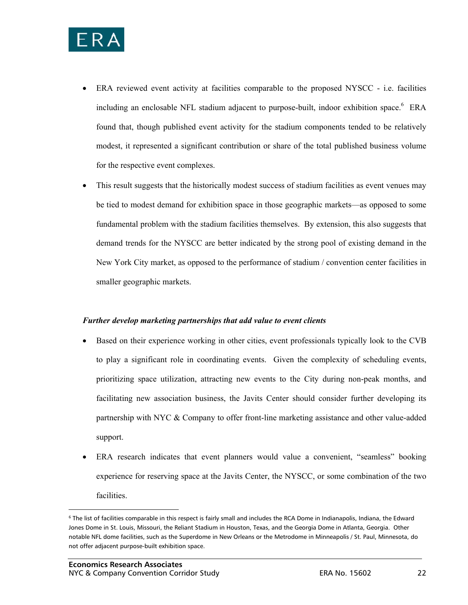

- ERA reviewed event activity at facilities comparable to the proposed NYSCC i.e. facilities including an enclosable NFL stadium adjacent to purpose-built, indoor exhibition space.<sup>6</sup> ERA found that, though published event activity for the stadium components tended to be relatively modest, it represented a significant contribution or share of the total published business volume for the respective event complexes.
- This result suggests that the historically modest success of stadium facilities as event venues may be tied to modest demand for exhibition space in those geographic markets—as opposed to some fundamental problem with the stadium facilities themselves. By extension, this also suggests that demand trends for the NYSCC are better indicated by the strong pool of existing demand in the New York City market, as opposed to the performance of stadium / convention center facilities in smaller geographic markets.

#### *Further develop marketing partnerships that add value to event clients*

- Based on their experience working in other cities, event professionals typically look to the CVB to play a significant role in coordinating events. Given the complexity of scheduling events, prioritizing space utilization, attracting new events to the City during non-peak months, and facilitating new association business, the Javits Center should consider further developing its partnership with NYC & Company to offer front-line marketing assistance and other value-added support.
- ERA research indicates that event planners would value a convenient, "seamless" booking experience for reserving space at the Javits Center, the NYSCC, or some combination of the two facilities.

l

<sup>6</sup> The list of facilities comparable in this respect is fairly small and includes the RCA Dome in Indianapolis, Indiana, the Edward Jones Dome in St. Louis, Missouri, the Reliant Stadium in Houston, Texas, and the Georgia Dome in Atlanta, Georgia. Other notable NFL dome facilities, such as the Superdome in New Orleans or the Metrodome in Minneapolis / St. Paul, Minnesota, do not offer adjacent purpose-built exhibition space.